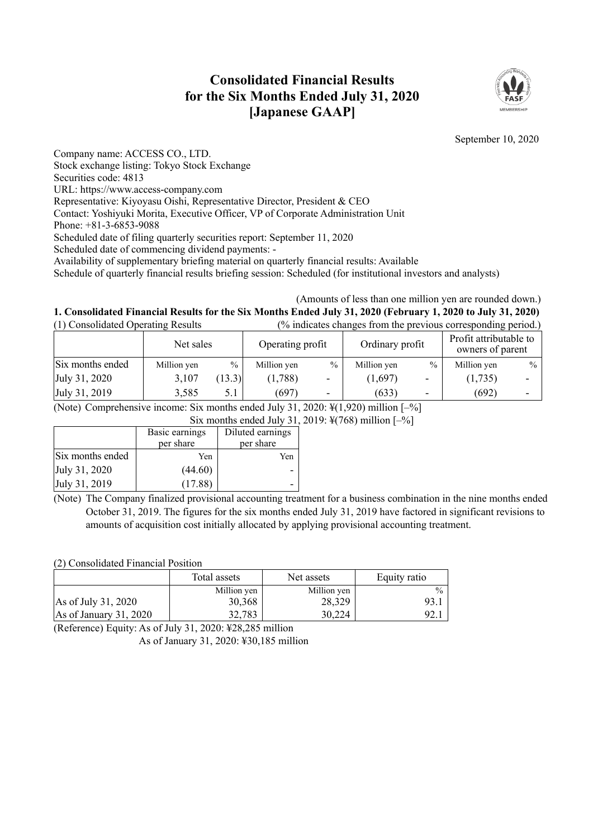# **Consolidated Financial Results for the Six Months Ended July 31, 2020 [Japanese GAAP]**



September 10, 2020

Company name: ACCESS CO., LTD. Stock exchange listing: Tokyo Stock Exchange Securities code: 4813 URL: https://www.access-company.com Representative: Kiyoyasu Oishi, Representative Director, President & CEO Contact: Yoshiyuki Morita, Executive Officer, VP of Corporate Administration Unit Phone: +81-3-6853-9088 Scheduled date of filing quarterly securities report: September 11, 2020 Scheduled date of commencing dividend payments: - Availability of supplementary briefing material on quarterly financial results: Available Schedule of quarterly financial results briefing session: Scheduled (for institutional investors and analysts)

(Amounts of less than one million yen are rounded down.) **1. Consolidated Financial Results for the Six Months Ended July 31, 2020 (February 1, 2020 to July 31, 2020)** (1) Consolidated Operating Results (% indicates changes from the previous corresponding period.)

|                  |             | Net sales<br>Operating profit |             |                          |             | Ordinary profit          |             |      | Profit attributable to<br>owners of parent |  |
|------------------|-------------|-------------------------------|-------------|--------------------------|-------------|--------------------------|-------------|------|--------------------------------------------|--|
| Six months ended | Million yen | $\%$                          | Million yen | $\frac{0}{0}$            | Million yen | $\frac{0}{0}$            | Million yen | $\%$ |                                            |  |
| July 31, 2020    | 3,107       | (13.3)                        | (1,788)     | $\overline{\phantom{a}}$ | (1,697)     | $\overline{\phantom{a}}$ | (1,735)     |      |                                            |  |
| July 31, 2019    | 3,585       | 5.1                           | (697)       | $\overline{\phantom{0}}$ | (633)       | $\overline{\phantom{0}}$ | (692)       |      |                                            |  |

(Note) Comprehensive income: Six months ended July 31, 2020: ¥(1,920) million [–%]

Six months ended July 31, 2019:  $\frac{1}{2}(768)$  million  $[-\%]$ 

|                  | Basic earnings<br>per share | Diluted earnings<br>per share |
|------------------|-----------------------------|-------------------------------|
| Six months ended | Yen                         | Yen                           |
| July 31, 2020    | (44.60)                     |                               |
| July 31, 2019    | (17.88)                     |                               |

(Note) The Company finalized provisional accounting treatment for a business combination in the nine months ended October 31, 2019. The figures for the six months ended July 31, 2019 have factored in significant revisions to amounts of acquisition cost initially allocated by applying provisional accounting treatment.

(2) Consolidated Financial Position

|                        | Total assets | Net assets  | Equity ratio |
|------------------------|--------------|-------------|--------------|
|                        | Million yen  | Million yen |              |
| As of July 31, 2020    | 30,368       | 28,329      | 93.          |
| As of January 31, 2020 | 32.783       | 30.224      |              |

(Reference) Equity: As of July 31, 2020: ¥28,285 million As of January 31, 2020: ¥30,185 million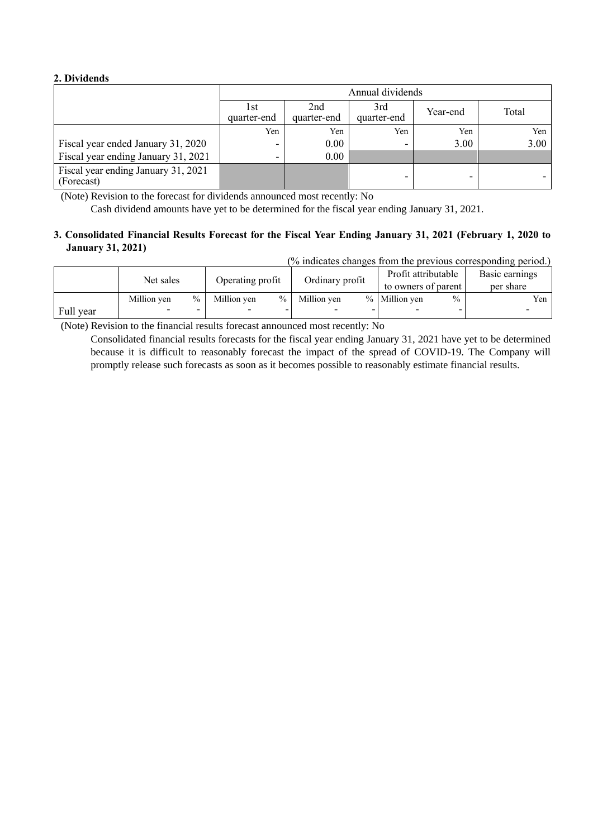## **2. Dividends**

|                                                   | Annual dividends    |                    |                    |          |       |
|---------------------------------------------------|---------------------|--------------------|--------------------|----------|-------|
|                                                   | l st<br>quarter-end | 2nd<br>quarter-end | 3rd<br>quarter-end | Year-end | Total |
|                                                   | Yen                 | Yen                | Yen                | Yen      | Yen   |
| Fiscal year ended January 31, 2020                |                     | $0.00\,$           |                    | 3.00     | 3.00  |
| Fiscal year ending January 31, 2021               |                     | 0.00               |                    |          |       |
| Fiscal year ending January 31, 2021<br>(Forecast) |                     |                    |                    |          |       |

(Note) Revision to the forecast for dividends announced most recently: No

Cash dividend amounts have yet to be determined for the fiscal year ending January 31, 2021.

## **3. Consolidated Financial Results Forecast for the Fiscal Year Ending January 31, 2021 (February 1, 2020 to January 31, 2021)**

(% indicates changes from the previous corresponding period.)

|           | Net sales           | Operating profit               | Ordinary profit | Profit attributable<br>to owners of parent | Basic earnings<br>per share |
|-----------|---------------------|--------------------------------|-----------------|--------------------------------------------|-----------------------------|
|           | Million ven<br>$\%$ | $\frac{0}{0}$ 1<br>Million ven | Million ven     | $\%$<br>% Million ven                      | Yen                         |
| Full year |                     |                                |                 | $\overline{\phantom{0}}$                   |                             |

(Note) Revision to the financial results forecast announced most recently: No

Consolidated financial results forecasts for the fiscal year ending January 31, 2021 have yet to be determined because it is difficult to reasonably forecast the impact of the spread of COVID-19. The Company will promptly release such forecasts as soon as it becomes possible to reasonably estimate financial results.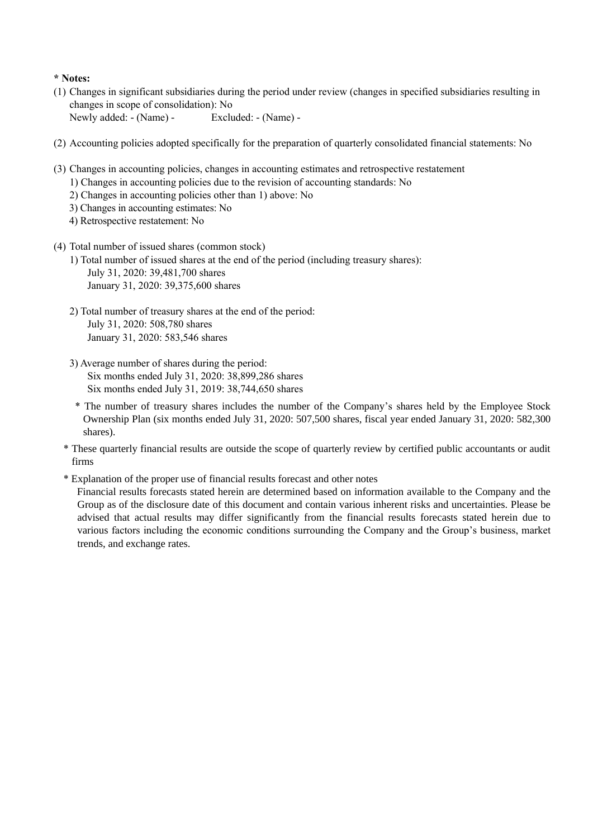### **\* Notes:**

- (1) Changes in significant subsidiaries during the period under review (changes in specified subsidiaries resulting in changes in scope of consolidation): No Newly added: - (Name) - Excluded: - (Name) -
- (2) Accounting policies adopted specifically for the preparation of quarterly consolidated financial statements: No
- (3) Changes in accounting policies, changes in accounting estimates and retrospective restatement
	- 1) Changes in accounting policies due to the revision of accounting standards: No
	- 2) Changes in accounting policies other than 1) above: No
	- 3) Changes in accounting estimates: No
	- 4) Retrospective restatement: No
- (4) Total number of issued shares (common stock)
	- 1) Total number of issued shares at the end of the period (including treasury shares): July 31, 2020: 39,481,700 shares January 31, 2020: 39,375,600 shares
	- 2) Total number of treasury shares at the end of the period: July 31, 2020: 508,780 shares January 31, 2020: 583,546 shares
	- 3) Average number of shares during the period: Six months ended July 31, 2020: 38,899,286 shares Six months ended July 31, 2019: 38,744,650 shares
	- \* The number of treasury shares includes the number of the Company's shares held by the Employee Stock Ownership Plan (six months ended July 31, 2020: 507,500 shares, fiscal year ended January 31, 2020: 582,300 shares).
	- \* These quarterly financial results are outside the scope of quarterly review by certified public accountants or audit firms
	- \* Explanation of the proper use of financial results forecast and other notes

Financial results forecasts stated herein are determined based on information available to the Company and the Group as of the disclosure date of this document and contain various inherent risks and uncertainties. Please be advised that actual results may differ significantly from the financial results forecasts stated herein due to various factors including the economic conditions surrounding the Company and the Group's business, market trends, and exchange rates.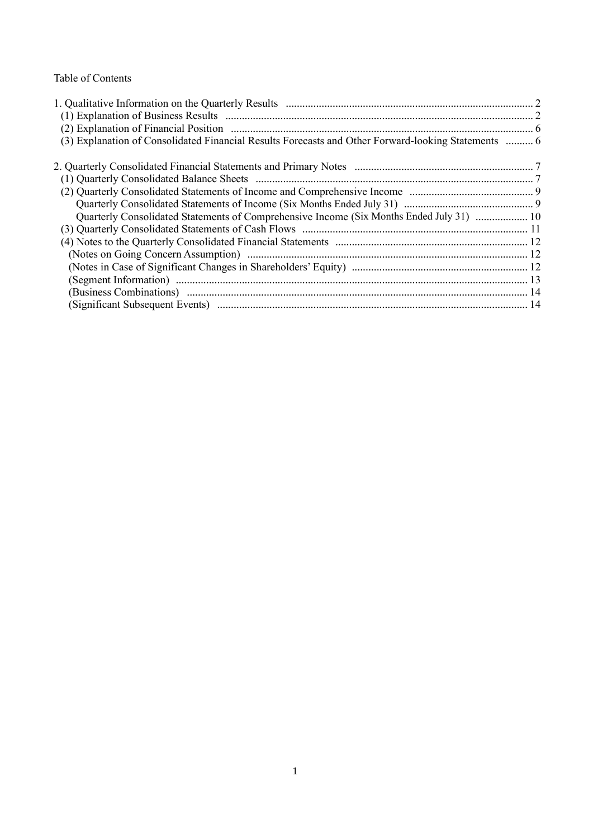Table of Contents

| (3) Explanation of Consolidated Financial Results Forecasts and Other Forward-looking Statements  6 |  |
|-----------------------------------------------------------------------------------------------------|--|
|                                                                                                     |  |
|                                                                                                     |  |
|                                                                                                     |  |
|                                                                                                     |  |
| Quarterly Consolidated Statements of Comprehensive Income (Six Months Ended July 31)  10            |  |
|                                                                                                     |  |
|                                                                                                     |  |
|                                                                                                     |  |
|                                                                                                     |  |
|                                                                                                     |  |
|                                                                                                     |  |
|                                                                                                     |  |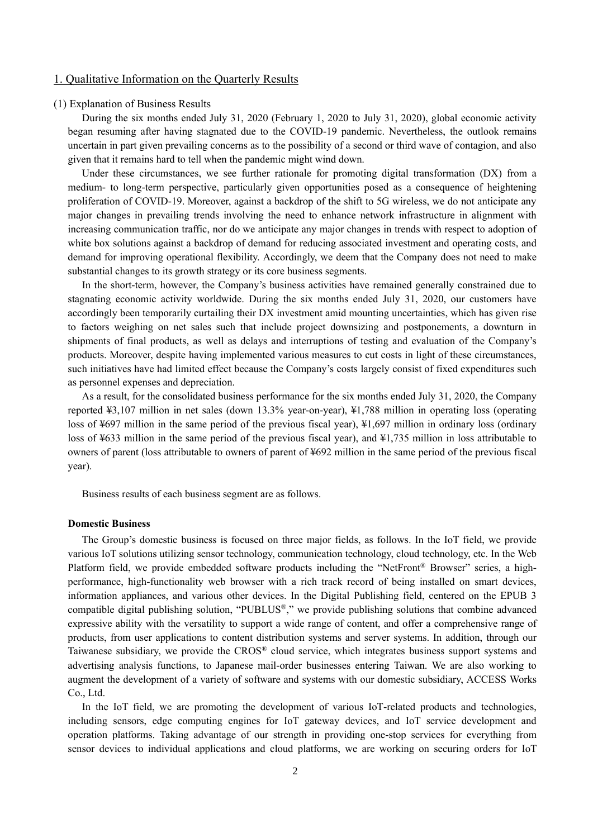### 1. Qualitative Information on the Quarterly Results

### (1) Explanation of Business Results

During the six months ended July 31, 2020 (February 1, 2020 to July 31, 2020), global economic activity began resuming after having stagnated due to the COVID-19 pandemic. Nevertheless, the outlook remains uncertain in part given prevailing concerns as to the possibility of a second or third wave of contagion, and also given that it remains hard to tell when the pandemic might wind down.

Under these circumstances, we see further rationale for promoting digital transformation (DX) from a medium- to long-term perspective, particularly given opportunities posed as a consequence of heightening proliferation of COVID-19. Moreover, against a backdrop of the shift to 5G wireless, we do not anticipate any major changes in prevailing trends involving the need to enhance network infrastructure in alignment with increasing communication traffic, nor do we anticipate any major changes in trends with respect to adoption of white box solutions against a backdrop of demand for reducing associated investment and operating costs, and demand for improving operational flexibility. Accordingly, we deem that the Company does not need to make substantial changes to its growth strategy or its core business segments.

In the short-term, however, the Company's business activities have remained generally constrained due to stagnating economic activity worldwide. During the six months ended July 31, 2020, our customers have accordingly been temporarily curtailing their DX investment amid mounting uncertainties, which has given rise to factors weighing on net sales such that include project downsizing and postponements, a downturn in shipments of final products, as well as delays and interruptions of testing and evaluation of the Company's products. Moreover, despite having implemented various measures to cut costs in light of these circumstances, such initiatives have had limited effect because the Company's costs largely consist of fixed expenditures such as personnel expenses and depreciation.

As a result, for the consolidated business performance for the six months ended July 31, 2020, the Company reported ¥3,107 million in net sales (down 13.3% year-on-year), ¥1,788 million in operating loss (operating loss of ¥697 million in the same period of the previous fiscal year), ¥1,697 million in ordinary loss (ordinary loss of ¥633 million in the same period of the previous fiscal year), and ¥1,735 million in loss attributable to owners of parent (loss attributable to owners of parent of ¥692 million in the same period of the previous fiscal year).

Business results of each business segment are as follows.

### **Domestic Business**

The Group's domestic business is focused on three major fields, as follows. In the IoT field, we provide various IoT solutions utilizing sensor technology, communication technology, cloud technology, etc. In the Web Platform field, we provide embedded software products including the "NetFront® Browser" series, a highperformance, high-functionality web browser with a rich track record of being installed on smart devices, information appliances, and various other devices. In the Digital Publishing field, centered on the EPUB 3 compatible digital publishing solution, "PUBLUS®," we provide publishing solutions that combine advanced expressive ability with the versatility to support a wide range of content, and offer a comprehensive range of products, from user applications to content distribution systems and server systems. In addition, through our Taiwanese subsidiary, we provide the CROS® cloud service, which integrates business support systems and advertising analysis functions, to Japanese mail-order businesses entering Taiwan. We are also working to augment the development of a variety of software and systems with our domestic subsidiary, ACCESS Works Co., Ltd.

In the IoT field, we are promoting the development of various IoT-related products and technologies, including sensors, edge computing engines for IoT gateway devices, and IoT service development and operation platforms. Taking advantage of our strength in providing one-stop services for everything from sensor devices to individual applications and cloud platforms, we are working on securing orders for IoT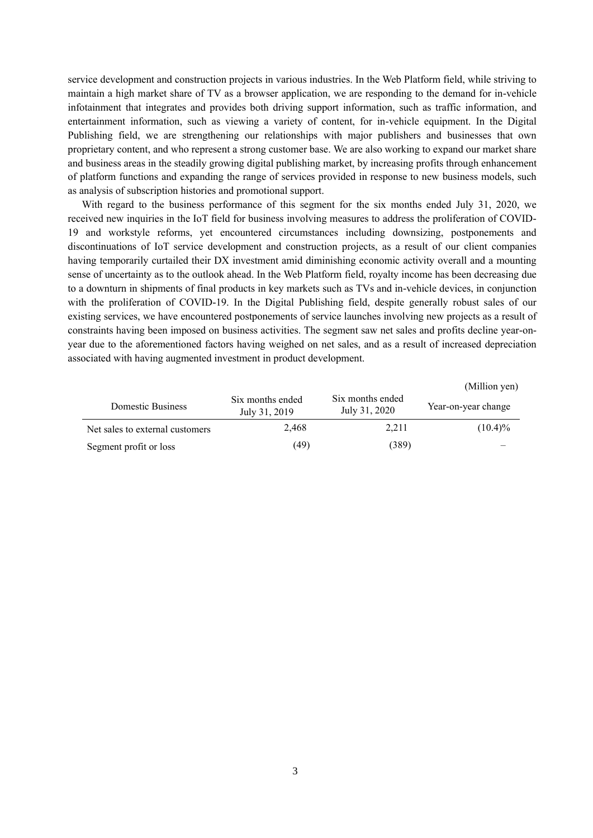service development and construction projects in various industries. In the Web Platform field, while striving to maintain a high market share of TV as a browser application, we are responding to the demand for in-vehicle infotainment that integrates and provides both driving support information, such as traffic information, and entertainment information, such as viewing a variety of content, for in-vehicle equipment. In the Digital Publishing field, we are strengthening our relationships with major publishers and businesses that own proprietary content, and who represent a strong customer base. We are also working to expand our market share and business areas in the steadily growing digital publishing market, by increasing profits through enhancement of platform functions and expanding the range of services provided in response to new business models, such as analysis of subscription histories and promotional support.

With regard to the business performance of this segment for the six months ended July 31, 2020, we received new inquiries in the IoT field for business involving measures to address the proliferation of COVID-19 and workstyle reforms, yet encountered circumstances including downsizing, postponements and discontinuations of IoT service development and construction projects, as a result of our client companies having temporarily curtailed their DX investment amid diminishing economic activity overall and a mounting sense of uncertainty as to the outlook ahead. In the Web Platform field, royalty income has been decreasing due to a downturn in shipments of final products in key markets such as TVs and in-vehicle devices, in conjunction with the proliferation of COVID-19. In the Digital Publishing field, despite generally robust sales of our existing services, we have encountered postponements of service launches involving new projects as a result of constraints having been imposed on business activities. The segment saw net sales and profits decline year-onyear due to the aforementioned factors having weighed on net sales, and as a result of increased depreciation associated with having augmented investment in product development.

|                                 |                                   |                                   | (Million yen)       |
|---------------------------------|-----------------------------------|-----------------------------------|---------------------|
| Domestic Business               | Six months ended<br>July 31, 2019 | Six months ended<br>July 31, 2020 | Year-on-year change |
| Net sales to external customers | 2,468                             | 2,211                             | $(10.4)\%$          |
| Segment profit or loss          | (49)                              | (389)                             |                     |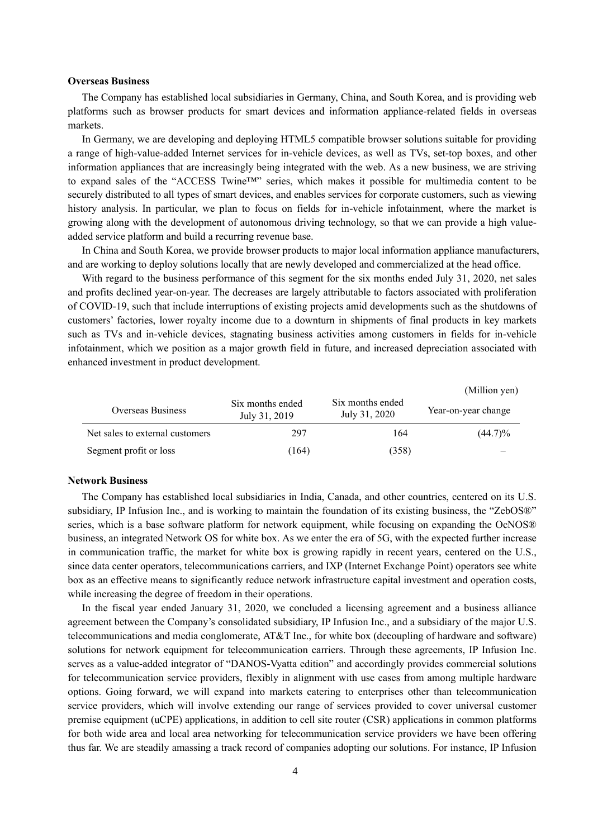### **Overseas Business**

The Company has established local subsidiaries in Germany, China, and South Korea, and is providing web platforms such as browser products for smart devices and information appliance-related fields in overseas markets.

In Germany, we are developing and deploying HTML5 compatible browser solutions suitable for providing a range of high-value-added Internet services for in-vehicle devices, as well as TVs, set-top boxes, and other information appliances that are increasingly being integrated with the web. As a new business, we are striving to expand sales of the "ACCESS Twine™" series, which makes it possible for multimedia content to be securely distributed to all types of smart devices, and enables services for corporate customers, such as viewing history analysis. In particular, we plan to focus on fields for in-vehicle infotainment, where the market is growing along with the development of autonomous driving technology, so that we can provide a high valueadded service platform and build a recurring revenue base.

In China and South Korea, we provide browser products to major local information appliance manufacturers, and are working to deploy solutions locally that are newly developed and commercialized at the head office.

With regard to the business performance of this segment for the six months ended July 31, 2020, net sales and profits declined year-on-year. The decreases are largely attributable to factors associated with proliferation of COVID-19, such that include interruptions of existing projects amid developments such as the shutdowns of customers' factories, lower royalty income due to a downturn in shipments of final products in key markets such as TVs and in-vehicle devices, stagnating business activities among customers in fields for in-vehicle infotainment, which we position as a major growth field in future, and increased depreciation associated with enhanced investment in product development.

|                                 |                                   |                                   | (Million yen)       |
|---------------------------------|-----------------------------------|-----------------------------------|---------------------|
| Overseas Business               | Six months ended<br>July 31, 2019 | Six months ended<br>July 31, 2020 | Year-on-year change |
| Net sales to external customers | 297                               | 164                               | $(44.7)\%$          |
| Segment profit or loss          | (164)                             | (358)                             |                     |

#### **Network Business**

The Company has established local subsidiaries in India, Canada, and other countries, centered on its U.S. subsidiary, IP Infusion Inc., and is working to maintain the foundation of its existing business, the "ZebOS®" series, which is a base software platform for network equipment, while focusing on expanding the OcNOS® business, an integrated Network OS for white box. As we enter the era of 5G, with the expected further increase in communication traffic, the market for white box is growing rapidly in recent years, centered on the U.S., since data center operators, telecommunications carriers, and IXP (Internet Exchange Point) operators see white box as an effective means to significantly reduce network infrastructure capital investment and operation costs, while increasing the degree of freedom in their operations.

In the fiscal year ended January 31, 2020, we concluded a licensing agreement and a business alliance agreement between the Company's consolidated subsidiary, IP Infusion Inc., and a subsidiary of the major U.S. telecommunications and media conglomerate, AT&T Inc., for white box (decoupling of hardware and software) solutions for network equipment for telecommunication carriers. Through these agreements, IP Infusion Inc. serves as a value-added integrator of "DANOS-Vyatta edition" and accordingly provides commercial solutions for telecommunication service providers, flexibly in alignment with use cases from among multiple hardware options. Going forward, we will expand into markets catering to enterprises other than telecommunication service providers, which will involve extending our range of services provided to cover universal customer premise equipment (uCPE) applications, in addition to cell site router (CSR) applications in common platforms for both wide area and local area networking for telecommunication service providers we have been offering thus far. We are steadily amassing a track record of companies adopting our solutions. For instance, IP Infusion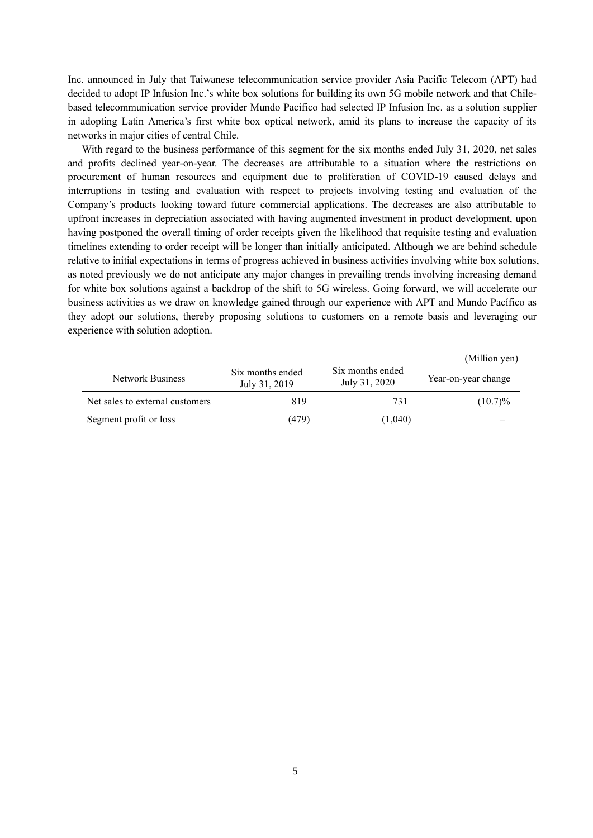Inc. announced in July that Taiwanese telecommunication service provider Asia Pacific Telecom (APT) had decided to adopt IP Infusion Inc.'s white box solutions for building its own 5G mobile network and that Chilebased telecommunication service provider Mundo Pacífico had selected IP Infusion Inc. as a solution supplier in adopting Latin America's first white box optical network, amid its plans to increase the capacity of its networks in major cities of central Chile.

With regard to the business performance of this segment for the six months ended July 31, 2020, net sales and profits declined year-on-year. The decreases are attributable to a situation where the restrictions on procurement of human resources and equipment due to proliferation of COVID-19 caused delays and interruptions in testing and evaluation with respect to projects involving testing and evaluation of the Company's products looking toward future commercial applications. The decreases are also attributable to upfront increases in depreciation associated with having augmented investment in product development, upon having postponed the overall timing of order receipts given the likelihood that requisite testing and evaluation timelines extending to order receipt will be longer than initially anticipated. Although we are behind schedule relative to initial expectations in terms of progress achieved in business activities involving white box solutions, as noted previously we do not anticipate any major changes in prevailing trends involving increasing demand for white box solutions against a backdrop of the shift to 5G wireless. Going forward, we will accelerate our business activities as we draw on knowledge gained through our experience with APT and Mundo Pacífico as they adopt our solutions, thereby proposing solutions to customers on a remote basis and leveraging our experience with solution adoption.

|                                 |                                   |                                   | (Million yen)       |
|---------------------------------|-----------------------------------|-----------------------------------|---------------------|
| <b>Network Business</b>         | Six months ended<br>July 31, 2019 | Six months ended<br>July 31, 2020 | Year-on-year change |
| Net sales to external customers | 819                               | 731                               | $(10.7)\%$          |
| Segment profit or loss          | (479)                             | (1,040)                           |                     |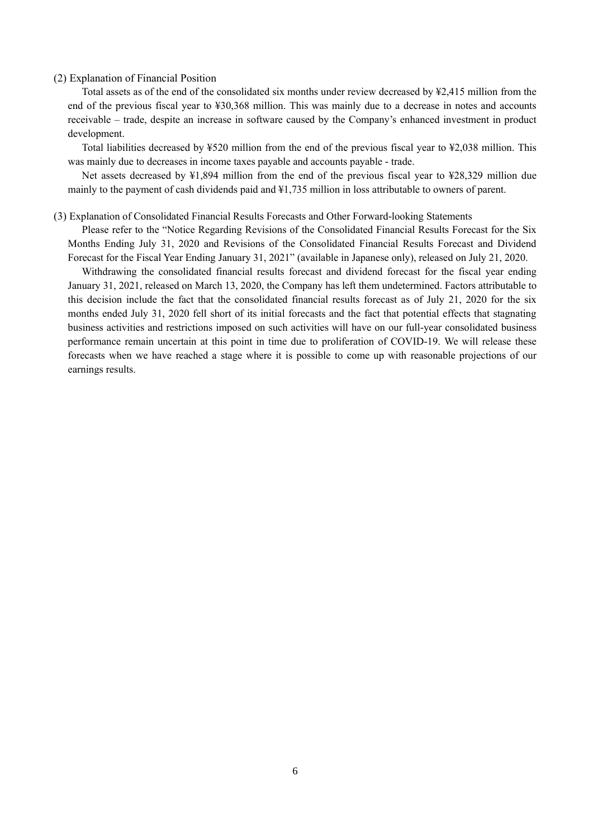(2) Explanation of Financial Position

Total assets as of the end of the consolidated six months under review decreased by ¥2,415 million from the end of the previous fiscal year to ¥30,368 million. This was mainly due to a decrease in notes and accounts receivable – trade, despite an increase in software caused by the Company's enhanced investment in product development.

Total liabilities decreased by ¥520 million from the end of the previous fiscal year to ¥2,038 million. This was mainly due to decreases in income taxes payable and accounts payable - trade.

Net assets decreased by ¥1,894 million from the end of the previous fiscal year to ¥28,329 million due mainly to the payment of cash dividends paid and ¥1,735 million in loss attributable to owners of parent.

### (3) Explanation of Consolidated Financial Results Forecasts and Other Forward-looking Statements

Please refer to the "Notice Regarding Revisions of the Consolidated Financial Results Forecast for the Six Months Ending July 31, 2020 and Revisions of the Consolidated Financial Results Forecast and Dividend Forecast for the Fiscal Year Ending January 31, 2021" (available in Japanese only), released on July 21, 2020.

Withdrawing the consolidated financial results forecast and dividend forecast for the fiscal year ending January 31, 2021, released on March 13, 2020, the Company has left them undetermined. Factors attributable to this decision include the fact that the consolidated financial results forecast as of July 21, 2020 for the six months ended July 31, 2020 fell short of its initial forecasts and the fact that potential effects that stagnating business activities and restrictions imposed on such activities will have on our full-year consolidated business performance remain uncertain at this point in time due to proliferation of COVID-19. We will release these forecasts when we have reached a stage where it is possible to come up with reasonable projections of our earnings results.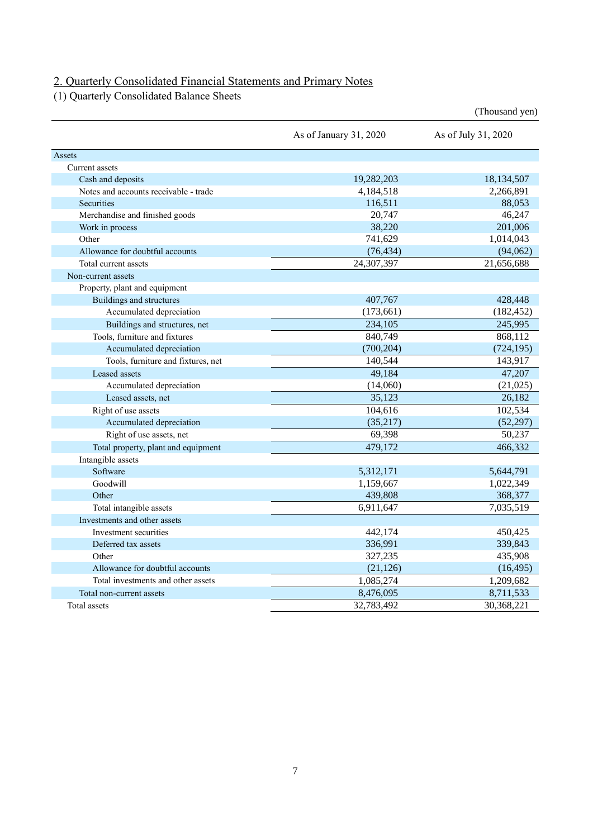# 2. Quarterly Consolidated Financial Statements and Primary Notes

(1) Quarterly Consolidated Balance Sheets

|                                       |                        | (Thousand yen)      |
|---------------------------------------|------------------------|---------------------|
|                                       | As of January 31, 2020 | As of July 31, 2020 |
| Assets                                |                        |                     |
| Current assets                        |                        |                     |
| Cash and deposits                     | 19,282,203             | 18,134,507          |
| Notes and accounts receivable - trade | 4,184,518              | 2,266,891           |
| <b>Securities</b>                     | 116,511                | 88,053              |
| Merchandise and finished goods        | 20,747                 | 46,247              |
| Work in process                       | 38,220                 | 201,006             |
| Other                                 | 741,629                | 1,014,043           |
| Allowance for doubtful accounts       | (76, 434)              | (94,062)            |
| Total current assets                  | 24,307,397             | 21,656,688          |
| Non-current assets                    |                        |                     |
| Property, plant and equipment         |                        |                     |
| Buildings and structures              | 407,767                | 428,448             |
| Accumulated depreciation              | (173, 661)             | (182, 452)          |
| Buildings and structures, net         | 234,105                | 245,995             |
| Tools, furniture and fixtures         | 840,749                | 868,112             |
| Accumulated depreciation              | (700, 204)             | (724, 195)          |
| Tools, furniture and fixtures, net    | 140,544                | 143,917             |
| Leased assets                         | 49,184                 | 47,207              |
| Accumulated depreciation              | (14,060)               | (21,025)            |
| Leased assets, net                    | 35,123                 | 26,182              |
| Right of use assets                   | 104,616                | 102,534             |
| Accumulated depreciation              | (35, 217)              | (52, 297)           |
| Right of use assets, net              | 69,398                 | 50,237              |
| Total property, plant and equipment   | 479,172                | 466,332             |
| Intangible assets                     |                        |                     |
| Software                              | 5,312,171              | 5,644,791           |
| Goodwill                              | 1,159,667              | 1,022,349           |
| Other                                 | 439,808                | 368,377             |
| Total intangible assets               | 6,911,647              | 7,035,519           |
| Investments and other assets          |                        |                     |
| Investment securities                 | 442,174                | 450,425             |
| Deferred tax assets                   | 336,991                | 339,843             |
| Other                                 | 327,235                | 435,908             |
| Allowance for doubtful accounts       | (21, 126)              | (16, 495)           |
| Total investments and other assets    | 1,085,274              | 1,209,682           |
| Total non-current assets              | 8,476,095              | 8,711,533           |
| Total assets                          | 32,783,492             | 30,368,221          |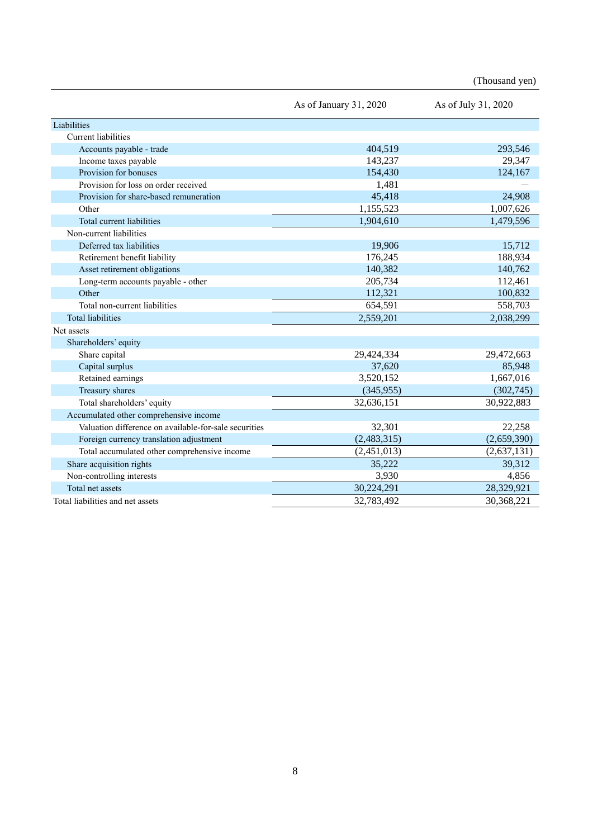(Thousand yen)

|                                                       | As of January 31, 2020 | As of July 31, 2020 |
|-------------------------------------------------------|------------------------|---------------------|
| Liabilities                                           |                        |                     |
| <b>Current liabilities</b>                            |                        |                     |
| Accounts payable - trade                              | 404,519                | 293,546             |
| Income taxes payable                                  | 143,237                | 29,347              |
| Provision for bonuses                                 | 154,430                | 124,167             |
| Provision for loss on order received                  | 1,481                  |                     |
| Provision for share-based remuneration                | 45,418                 | 24,908              |
| Other                                                 | 1,155,523              | 1,007,626           |
| Total current liabilities                             | 1,904,610              | 1,479,596           |
| Non-current liabilities                               |                        |                     |
| Deferred tax liabilities                              | 19,906                 | 15,712              |
| Retirement benefit liability                          | 176,245                | 188,934             |
| Asset retirement obligations                          | 140,382                | 140,762             |
| Long-term accounts payable - other                    | 205,734                | 112,461             |
| Other                                                 | 112,321                | 100,832             |
| Total non-current liabilities                         | 654,591                | 558,703             |
| <b>Total liabilities</b>                              | 2,559,201              | 2,038,299           |
| Net assets                                            |                        |                     |
| Shareholders' equity                                  |                        |                     |
| Share capital                                         | 29,424,334             | 29,472,663          |
| Capital surplus                                       | 37,620                 | 85,948              |
| Retained earnings                                     | 3,520,152              | 1,667,016           |
| Treasury shares                                       | (345, 955)             | (302,745)           |
| Total shareholders' equity                            | 32,636,151             | 30,922,883          |
| Accumulated other comprehensive income                |                        |                     |
| Valuation difference on available-for-sale securities | 32,301                 | 22,258              |
| Foreign currency translation adjustment               | (2,483,315)            | (2,659,390)         |
| Total accumulated other comprehensive income          | (2,451,013)            | (2,637,131)         |
| Share acquisition rights                              | 35,222                 | 39,312              |
| Non-controlling interests                             | 3,930                  | 4,856               |
| Total net assets                                      | 30,224,291             | 28,329,921          |
| Total liabilities and net assets                      | 32,783,492             | 30,368,221          |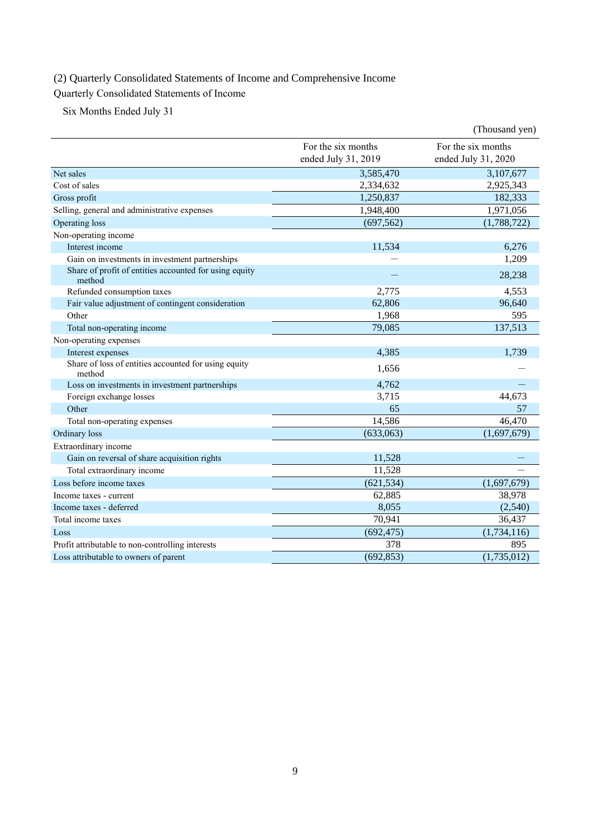# (2) Quarterly Consolidated Statements of Income and Comprehensive Income

# Quarterly Consolidated Statements of Income

Six Months Ended July 31

|                                                                  |                                           | (Thousand yen)                            |
|------------------------------------------------------------------|-------------------------------------------|-------------------------------------------|
|                                                                  | For the six months<br>ended July 31, 2019 | For the six months<br>ended July 31, 2020 |
| Net sales                                                        | 3,585,470                                 | 3,107,677                                 |
| Cost of sales                                                    | 2,334,632                                 | 2,925,343                                 |
| Gross profit                                                     | 1,250,837                                 | 182,333                                   |
| Selling, general and administrative expenses                     | 1,948,400                                 | 1,971,056                                 |
| Operating loss                                                   | (697, 562)                                | (1,788,722)                               |
| Non-operating income                                             |                                           |                                           |
| Interest income                                                  | 11,534                                    | 6,276                                     |
| Gain on investments in investment partnerships                   |                                           | 1,209                                     |
| Share of profit of entities accounted for using equity<br>method |                                           | 28,238                                    |
| Refunded consumption taxes                                       | 2,775                                     | 4,553                                     |
| Fair value adjustment of contingent consideration                | 62,806                                    | 96,640                                    |
| Other                                                            | 1,968                                     | 595                                       |
| Total non-operating income                                       | 79,085                                    | 137,513                                   |
| Non-operating expenses                                           |                                           |                                           |
| Interest expenses                                                | 4,385                                     | 1,739                                     |
| Share of loss of entities accounted for using equity<br>method   | 1,656                                     |                                           |
| Loss on investments in investment partnerships                   | 4,762                                     |                                           |
| Foreign exchange losses                                          | 3,715                                     | 44,673                                    |
| Other                                                            | 65                                        | 57                                        |
| Total non-operating expenses                                     | 14,586                                    | 46,470                                    |
| Ordinary loss                                                    | (633,063)                                 | (1,697,679)                               |
| Extraordinary income                                             |                                           |                                           |
| Gain on reversal of share acquisition rights                     | 11,528                                    |                                           |
| Total extraordinary income                                       | 11,528                                    |                                           |
| Loss before income taxes                                         | (621, 534)                                | (1,697,679)                               |
| Income taxes - current                                           | 62,885                                    | 38,978                                    |
| Income taxes - deferred                                          | 8,055                                     | (2,540)                                   |
| Total income taxes                                               | 70,941                                    | 36,437                                    |
| Loss                                                             | (692, 475)                                | (1,734,116)                               |
| Profit attributable to non-controlling interests                 | 378                                       | 895                                       |
| Loss attributable to owners of parent                            | (692, 853)                                | (1,735,012)                               |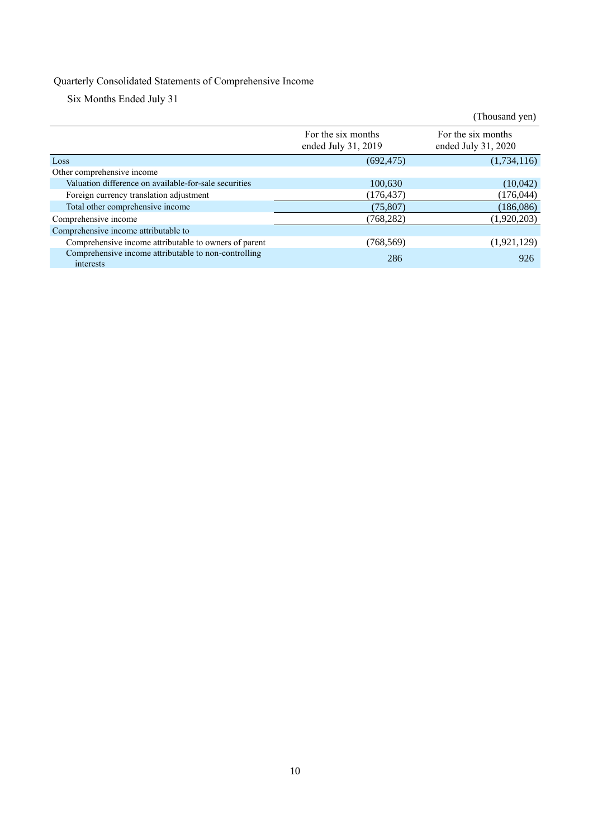# Quarterly Consolidated Statements of Comprehensive Income

Six Months Ended July 31

|                                                                   |                                           | (Thousand yen)                            |
|-------------------------------------------------------------------|-------------------------------------------|-------------------------------------------|
|                                                                   | For the six months<br>ended July 31, 2019 | For the six months<br>ended July 31, 2020 |
| Loss                                                              | (692, 475)                                | (1,734,116)                               |
| Other comprehensive income                                        |                                           |                                           |
| Valuation difference on available-for-sale securities             | 100,630                                   | (10,042)                                  |
| Foreign currency translation adjustment                           | (176,437)                                 | (176, 044)                                |
| Total other comprehensive income                                  | (75, 807)                                 | (186, 086)                                |
| Comprehensive income                                              | (768,282)                                 | (1,920,203)                               |
| Comprehensive income attributable to                              |                                           |                                           |
| Comprehensive income attributable to owners of parent             | (768, 569)                                | (1,921,129)                               |
| Comprehensive income attributable to non-controlling<br>interests | 286                                       | 926                                       |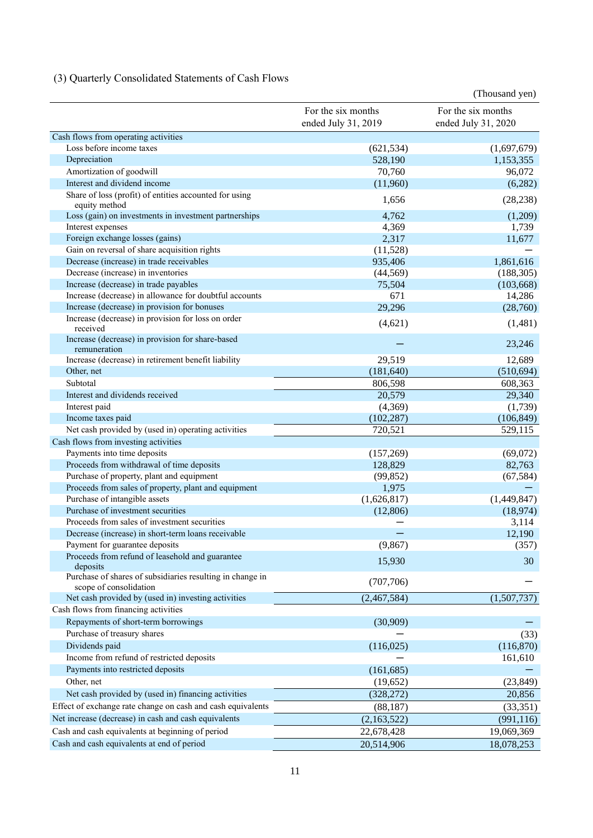# (3) Quarterly Consolidated Statements of Cash Flows

|                                                                                     |                                           | (Thousand yen)                            |
|-------------------------------------------------------------------------------------|-------------------------------------------|-------------------------------------------|
|                                                                                     | For the six months<br>ended July 31, 2019 | For the six months<br>ended July 31, 2020 |
| Cash flows from operating activities                                                |                                           |                                           |
| Loss before income taxes                                                            | (621, 534)                                | (1,697,679)                               |
| Depreciation                                                                        | 528,190                                   | 1,153,355                                 |
| Amortization of goodwill                                                            | 70,760                                    | 96,072                                    |
| Interest and dividend income                                                        | (11,960)                                  | (6,282)                                   |
| Share of loss (profit) of entities accounted for using<br>equity method             | 1,656                                     | (28, 238)                                 |
| Loss (gain) on investments in investment partnerships                               | 4,762                                     | (1,209)                                   |
| Interest expenses                                                                   | 4,369                                     | 1,739                                     |
| Foreign exchange losses (gains)                                                     | 2,317                                     | 11,677                                    |
| Gain on reversal of share acquisition rights                                        | (11,528)                                  |                                           |
| Decrease (increase) in trade receivables                                            | 935,406                                   | 1,861,616                                 |
| Decrease (increase) in inventories                                                  | (44, 569)                                 | (188, 305)                                |
| Increase (decrease) in trade payables                                               | 75,504                                    | (103, 668)                                |
| Increase (decrease) in allowance for doubtful accounts                              | 671                                       | 14,286                                    |
| Increase (decrease) in provision for bonuses                                        | 29,296                                    | (28,760)                                  |
| Increase (decrease) in provision for loss on order<br>received                      | (4,621)                                   | (1,481)                                   |
| Increase (decrease) in provision for share-based<br>remuneration                    |                                           | 23,246                                    |
| Increase (decrease) in retirement benefit liability                                 | 29,519                                    | 12,689                                    |
| Other, net                                                                          | (181, 640)                                | (510, 694)                                |
| Subtotal                                                                            | 806,598                                   | 608,363                                   |
| Interest and dividends received                                                     | 20,579                                    | 29,340                                    |
| Interest paid                                                                       | (4,369)                                   | (1,739)                                   |
| Income taxes paid                                                                   | (102, 287)                                | (106, 849)                                |
| Net cash provided by (used in) operating activities                                 | 720,521                                   | 529,115                                   |
| Cash flows from investing activities                                                |                                           |                                           |
| Payments into time deposits                                                         | (157,269)                                 | (69,072)                                  |
| Proceeds from withdrawal of time deposits                                           | 128,829                                   | 82,763                                    |
| Purchase of property, plant and equipment                                           | (99, 852)                                 | (67, 584)                                 |
| Proceeds from sales of property, plant and equipment                                | 1,975                                     |                                           |
| Purchase of intangible assets<br>Purchase of investment securities                  | (1,626,817)                               | (1,449,847)                               |
| Proceeds from sales of investment securities                                        | (12,806)                                  | (18, 974)                                 |
| Decrease (increase) in short-term loans receivable                                  |                                           | 3,114                                     |
| Payment for guarantee deposits                                                      | (9, 867)                                  | 12,190<br>(357)                           |
| Proceeds from refund of leasehold and guarantee                                     |                                           |                                           |
| deposits                                                                            | 15,930                                    | 30                                        |
| Purchase of shares of subsidiaries resulting in change in<br>scope of consolidation | (707,706)                                 |                                           |
| Net cash provided by (used in) investing activities                                 | (2,467,584)                               | (1,507,737)                               |
| Cash flows from financing activities                                                |                                           |                                           |
| Repayments of short-term borrowings                                                 | (30,909)                                  |                                           |
| Purchase of treasury shares                                                         |                                           | (33)                                      |
| Dividends paid                                                                      | (116,025)                                 | (116,870)                                 |
| Income from refund of restricted deposits                                           |                                           | 161,610                                   |
| Payments into restricted deposits                                                   | (161, 685)                                |                                           |
| Other, net                                                                          | (19,652)                                  | (23, 849)                                 |
| Net cash provided by (used in) financing activities                                 | (328, 272)                                | 20,856                                    |
| Effect of exchange rate change on cash and cash equivalents                         | (88, 187)                                 | (33, 351)                                 |
| Net increase (decrease) in cash and cash equivalents                                | (2,163,522)                               | (991, 116)                                |
| Cash and cash equivalents at beginning of period                                    | 22,678,428                                | 19,069,369                                |
| Cash and cash equivalents at end of period                                          | 20,514,906                                | 18,078,253                                |
|                                                                                     |                                           |                                           |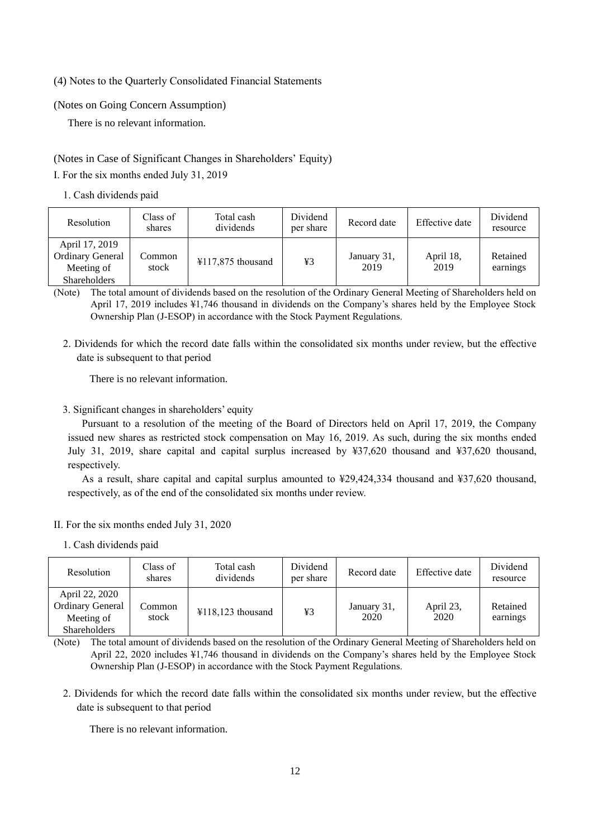(4) Notes to the Quarterly Consolidated Financial Statements

(Notes on Going Concern Assumption)

There is no relevant information.

(Notes in Case of Significant Changes in Shareholders' Equity)

I. For the six months ended July 31, 2019

1. Cash dividends paid

| Resolution                                                              | Class of<br>shares | Total cash<br>dividends | Dividend<br>per share | Record date         | Effective date    | Dividend<br>resource |
|-------------------------------------------------------------------------|--------------------|-------------------------|-----------------------|---------------------|-------------------|----------------------|
| April 17, 2019<br><b>Ordinary General</b><br>Meeting of<br>Shareholders | Common<br>stock    | $¥117,875$ thousand     | ¥3                    | January 31,<br>2019 | April 18,<br>2019 | Retained<br>earnings |

(Note) The total amount of dividends based on the resolution of the Ordinary General Meeting of Shareholders held on April 17, 2019 includes ¥1,746 thousand in dividends on the Company's shares held by the Employee Stock Ownership Plan (J-ESOP) in accordance with the Stock Payment Regulations.

2. Dividends for which the record date falls within the consolidated six months under review, but the effective date is subsequent to that period

There is no relevant information.

3. Significant changes in shareholders' equity

Pursuant to a resolution of the meeting of the Board of Directors held on April 17, 2019, the Company issued new shares as restricted stock compensation on May 16, 2019. As such, during the six months ended July 31, 2019, share capital and capital surplus increased by ¥37,620 thousand and ¥37,620 thousand, respectively.

As a result, share capital and capital surplus amounted to ¥29,424,334 thousand and ¥37,620 thousand, respectively, as of the end of the consolidated six months under review.

- II. For the six months ended July 31, 2020
	- 1. Cash dividends paid

| Resolution                                                                     | Class of<br>shares | Total cash<br>dividends                | Dividend<br>per share | Record date         | Effective date    | Dividend<br>resource |
|--------------------------------------------------------------------------------|--------------------|----------------------------------------|-----------------------|---------------------|-------------------|----------------------|
| April 22, 2020<br><b>Ordinary General</b><br>Meeting of<br><b>Shareholders</b> | Common<br>stock    | $\text{\textsterling}118,123$ thousand | ¥3                    | January 31,<br>2020 | April 23,<br>2020 | Retained<br>earnings |

(Note) The total amount of dividends based on the resolution of the Ordinary General Meeting of Shareholders held on April 22, 2020 includes ¥1,746 thousand in dividends on the Company's shares held by the Employee Stock Ownership Plan (J-ESOP) in accordance with the Stock Payment Regulations.

2. Dividends for which the record date falls within the consolidated six months under review, but the effective date is subsequent to that period

There is no relevant information.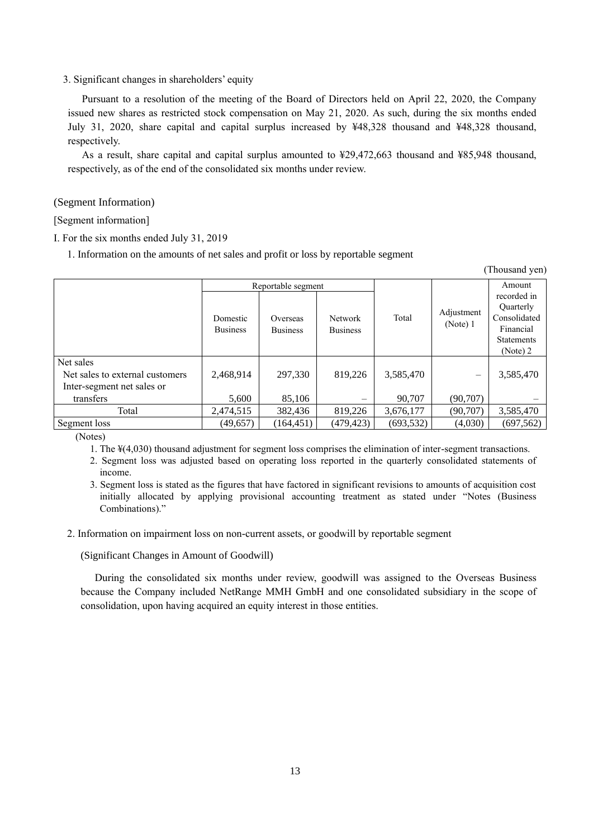### 3. Significant changes in shareholders' equity

Pursuant to a resolution of the meeting of the Board of Directors held on April 22, 2020, the Company issued new shares as restricted stock compensation on May 21, 2020. As such, during the six months ended July 31, 2020, share capital and capital surplus increased by ¥48,328 thousand and ¥48,328 thousand, respectively.

As a result, share capital and capital surplus amounted to ¥29,472,663 thousand and ¥85,948 thousand, respectively, as of the end of the consolidated six months under review.

### (Segment Information)

#### [Segment information]

I. For the six months ended July 31, 2019

1. Information on the amounts of net sales and profit or loss by reportable segment

| (Thousand yen)                               |                             |                                                   |                                   |            |                          |                                                                                      |  |
|----------------------------------------------|-----------------------------|---------------------------------------------------|-----------------------------------|------------|--------------------------|--------------------------------------------------------------------------------------|--|
|                                              | Domestic<br><b>Business</b> | Reportable segment<br>Overseas<br><b>Business</b> | <b>Network</b><br><b>Business</b> | Total      | Adjustment<br>(Note) $1$ | Amount<br>recorded in<br>Quarterly<br>Consolidated<br>Financial<br><b>Statements</b> |  |
|                                              |                             |                                                   |                                   |            |                          | (Note) 2                                                                             |  |
| Net sales<br>Net sales to external customers | 2,468,914                   | 297,330                                           | 819,226                           | 3,585,470  | $\overline{\phantom{m}}$ | 3,585,470                                                                            |  |
| Inter-segment net sales or                   |                             |                                                   |                                   |            |                          |                                                                                      |  |
| transfers                                    | 5,600                       | 85,106                                            |                                   | 90,707     | (90, 707)                |                                                                                      |  |
| Total                                        | 2,474,515                   | 382,436                                           | 819,226                           | 3,676,177  | (90, 707)                | 3,585,470                                                                            |  |
| Segment loss                                 | (49, 657)                   | (164, 451)                                        | (479, 423)                        | (693, 532) | (4,030)                  | (697, 562)                                                                           |  |

(Notes)

1. The ¥(4,030) thousand adjustment for segment loss comprises the elimination of inter-segment transactions.

2. Segment loss was adjusted based on operating loss reported in the quarterly consolidated statements of income.

3. Segment loss is stated as the figures that have factored in significant revisions to amounts of acquisition cost initially allocated by applying provisional accounting treatment as stated under "Notes (Business Combinations)."

2. Information on impairment loss on non-current assets, or goodwill by reportable segment

(Significant Changes in Amount of Goodwill)

During the consolidated six months under review, goodwill was assigned to the Overseas Business because the Company included NetRange MMH GmbH and one consolidated subsidiary in the scope of consolidation, upon having acquired an equity interest in those entities.